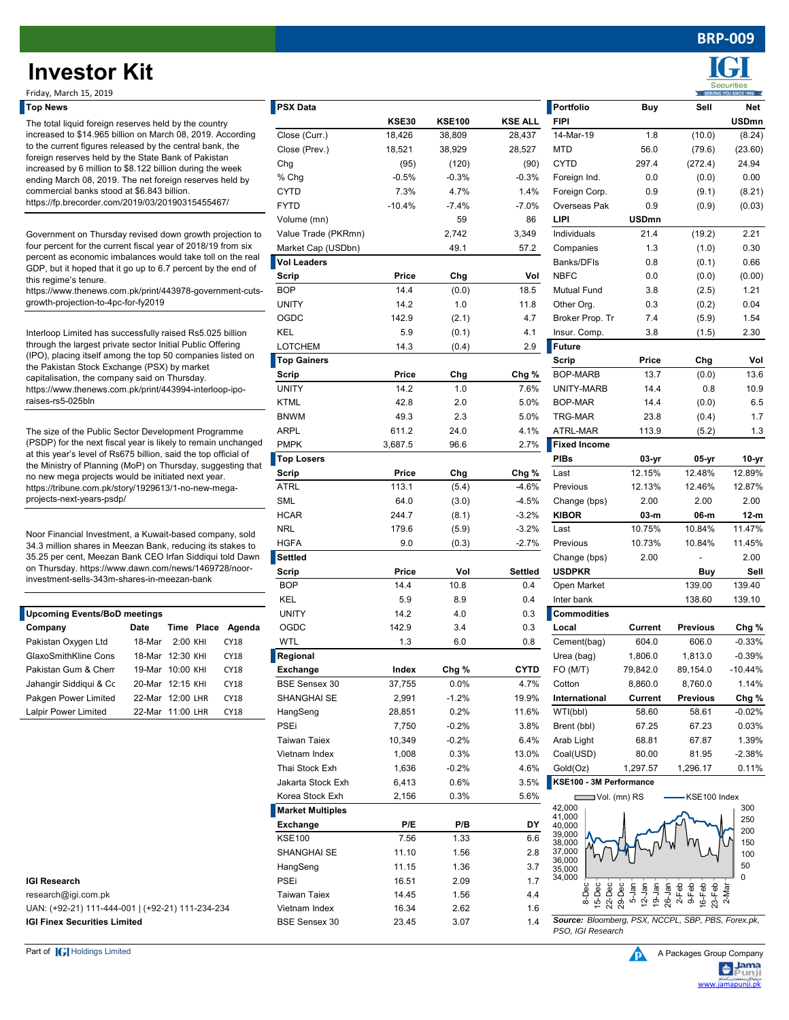## **BRP-009**

# **Investor Kit**

| <b>Upcoming Events/BoD meetings</b> |                       |            |            |        |  |  |  |  |  |
|-------------------------------------|-----------------------|------------|------------|--------|--|--|--|--|--|
| Company                             | Date                  |            | Time Place | Agenda |  |  |  |  |  |
| Pakistan Oxygen Ltd                 | 18-Mar                | $2:00$ KHI |            | CY18   |  |  |  |  |  |
| GlaxoSmithKline Cons                | $18-Mar$ $12.30$ KHI  |            |            | CY18   |  |  |  |  |  |
| Pakistan Gum & Chem                 | $19-Mar$ $10.00$ KHI  |            |            | CY18   |  |  |  |  |  |
| Jahangir Siddigui & Cc              | $20$ -Mar $12.15$ KHI |            |            | CY18   |  |  |  |  |  |
| Pakgen Power Limited                | 22-Mar 12:00 LHR      |            |            | CY18   |  |  |  |  |  |
| Lalpir Power Limited                | 22-Mar 11:00 LHR      |            |            | CY18   |  |  |  |  |  |

| гор немэ                                                                                                                                                                                                                  |        |                   |                     | <b>T</b> ray nara       |              |               |                    | <b>L</b> LOI NOIIO                                 | puy                                                    | əen             | <b>NGL</b>   |
|---------------------------------------------------------------------------------------------------------------------------------------------------------------------------------------------------------------------------|--------|-------------------|---------------------|-------------------------|--------------|---------------|--------------------|----------------------------------------------------|--------------------------------------------------------|-----------------|--------------|
| The total liquid foreign reserves held by the country                                                                                                                                                                     |        |                   |                     |                         | <b>KSE30</b> | <b>KSE100</b> | <b>KSE ALL</b>     | <b>FIPI</b>                                        |                                                        |                 | <b>USDmn</b> |
| increased to \$14.965 billion on March 08, 2019. According<br>to the current figures released by the central bank, the                                                                                                    |        |                   | Close (Curr.)       | 18,426                  | 38,809       | 28,437        | 14-Mar-19          | 1.8                                                | (10.0)                                                 | (8.24)          |              |
|                                                                                                                                                                                                                           |        |                   | Close (Prev.)       | 18,521                  | 38,929       | 28,527        | <b>MTD</b>         | 56.0                                               | (79.6)                                                 | (23.60)         |              |
| foreign reserves held by the State Bank of Pakistan<br>increased by 6 million to \$8.122 billion during the week<br>ending March 08, 2019. The net foreign reserves held by<br>commercial banks stood at \$6.843 billion. |        |                   |                     | Chg                     | (95)         | (120)         | (90)               | <b>CYTD</b>                                        | 297.4                                                  | (272.4)         | 24.94        |
|                                                                                                                                                                                                                           |        |                   |                     | % Chg                   | $-0.5%$      | $-0.3%$       | $-0.3%$            | Foreign Ind.                                       | 0.0                                                    | (0.0)           | 0.00         |
|                                                                                                                                                                                                                           |        |                   |                     | <b>CYTD</b>             | 7.3%         | 4.7%          | 1.4%               | Foreign Corp.                                      | 0.9                                                    | (9.1)           | (8.21)       |
| https://fp.brecorder.com/2019/03/20190315455467/                                                                                                                                                                          |        |                   | <b>FYTD</b>         | $-10.4%$                | $-7.4%$      | $-7.0%$       | Overseas Pak       | 0.9                                                | (0.9)                                                  | (0.03)          |              |
|                                                                                                                                                                                                                           |        |                   | Volume (mn)         |                         | 59           | 86            | LIPI               | <b>USDmn</b>                                       |                                                        |                 |              |
| Government on Thursday revised down growth projection to                                                                                                                                                                  |        |                   |                     | Value Trade (PKRmn)     |              | 2,742         | 3,349              | Individuals                                        | 21.4                                                   | (19.2)          | 2.21         |
|                                                                                                                                                                                                                           |        |                   |                     | Market Cap (USDbn)      |              | 49.1          | 57.2               | Companies                                          | 1.3                                                    | (1.0)           | 0.30         |
| four percent for the current fiscal year of 2018/19 from six<br>percent as economic imbalances would take toll on the real                                                                                                |        |                   |                     | <b>Vol Leaders</b>      |              |               |                    | Banks/DFIs                                         | 0.8                                                    | (0.1)           | 0.66         |
| GDP, but it hoped that it go up to 6.7 percent by the end of                                                                                                                                                              |        |                   |                     | <b>Scrip</b>            |              |               |                    | <b>NBFC</b>                                        | 0.0                                                    |                 |              |
| this regime's tenure.<br>https://www.thenews.com.pk/print/443978-government-cuts-<br>growth-projection-to-4pc-for-fy2019                                                                                                  |        |                   | <b>BOP</b>          | Price<br>14.4           | Chg          | Vol<br>18.5   |                    |                                                    | (0.0)                                                  | (0.00)          |              |
|                                                                                                                                                                                                                           |        |                   |                     |                         | (0.0)        |               | <b>Mutual Fund</b> | 3.8                                                | (2.5)                                                  | 1.21            |              |
|                                                                                                                                                                                                                           |        |                   | <b>UNITY</b>        | 14.2                    | 1.0          | 11.8          | Other Org.         | 0.3                                                | (0.2)                                                  | 0.04            |              |
|                                                                                                                                                                                                                           |        |                   |                     | OGDC                    | 142.9        | (2.1)         | 4.7                | Broker Prop. Tr                                    | 7.4                                                    | (5.9)           | 1.54         |
| Interloop Limited has successfully raised Rs5.025 billion                                                                                                                                                                 |        |                   |                     | KEL                     | 5.9          | (0.1)         | 4.1                | Insur. Comp.                                       | 3.8                                                    | (1.5)           | 2.30         |
| through the largest private sector Initial Public Offering<br>(IPO), placing itself among the top 50 companies listed on                                                                                                  |        |                   |                     | <b>LOTCHEM</b>          | 14.3         | (0.4)         | 2.9                | <b>Future</b>                                      |                                                        |                 |              |
| the Pakistan Stock Exchange (PSX) by market                                                                                                                                                                               |        |                   |                     | <b>Top Gainers</b>      |              |               |                    | Scrip                                              | Price                                                  | Chg             | Vol          |
| capitalisation, the company said on Thursday.                                                                                                                                                                             |        |                   |                     | Scrip                   | Price        | Chg           | Chg %              | <b>BOP-MARB</b>                                    | 13.7                                                   | (0.0)           | 13.6         |
| https://www.thenews.com.pk/print/443994-interloop-ipo-                                                                                                                                                                    |        |                   |                     | <b>UNITY</b>            | 14.2         | 1.0           | 7.6%               | UNITY-MARB                                         | 14.4                                                   | 0.8             | 10.9         |
| raises-rs5-025bln                                                                                                                                                                                                         |        |                   |                     | <b>KTML</b>             | 42.8         | 2.0           | 5.0%               | BOP-MAR                                            | 14.4                                                   | (0.0)           | 6.5          |
|                                                                                                                                                                                                                           |        |                   |                     | <b>BNWM</b>             | 49.3         | 2.3           | 5.0%               | <b>TRG-MAR</b>                                     | 23.8                                                   | (0.4)           | 1.7          |
| The size of the Public Sector Development Programme                                                                                                                                                                       |        |                   |                     | <b>ARPL</b>             | 611.2        | 24.0          | 4.1%               | ATRL-MAR                                           | 113.9                                                  | (5.2)           | 1.3          |
| (PSDP) for the next fiscal year is likely to remain unchanged                                                                                                                                                             |        |                   |                     | <b>PMPK</b>             | 3,687.5      | 96.6          | 2.7%               | <b>Fixed Income</b>                                |                                                        |                 |              |
| at this year's level of Rs675 billion, said the top official of<br>the Ministry of Planning (MoP) on Thursday, suggesting that                                                                                            |        |                   |                     | <b>Top Losers</b>       |              |               |                    | <b>PIBs</b>                                        | 03-yr                                                  | 05-yr           | 10-yr        |
| no new mega projects would be initiated next year.                                                                                                                                                                        |        |                   |                     | Scrip                   | Price        | Chg           | Chg %              | Last                                               | 12.15%                                                 | 12.48%          | 12.89%       |
| https://tribune.com.pk/story/1929613/1-no-new-mega-                                                                                                                                                                       |        |                   |                     | ATRL                    | 113.1        | (5.4)         | $-4.6%$            | Previous                                           | 12.13%                                                 | 12.46%          | 12.87%       |
| projects-next-years-psdp/                                                                                                                                                                                                 |        |                   |                     | <b>SML</b>              | 64.0         | (3.0)         | $-4.5%$            | Change (bps)                                       | 2.00                                                   | 2.00            | 2.00         |
|                                                                                                                                                                                                                           |        |                   |                     | <b>HCAR</b>             | 244.7        | (8.1)         | $-3.2%$            | <b>KIBOR</b>                                       | 03-m                                                   | 06-m            | 12-m         |
|                                                                                                                                                                                                                           |        |                   |                     | <b>NRL</b>              | 179.6        | (5.9)         | $-3.2%$            | Last                                               | 10.75%                                                 | 10.84%          | 11.47%       |
| Noor Financial Investment, a Kuwait-based company, sold<br>34.3 million shares in Meezan Bank, reducing its stakes to                                                                                                     |        |                   |                     | <b>HGFA</b>             | 9.0          | (0.3)         | $-2.7%$            | Previous                                           | 10.73%                                                 | 10.84%          | 11.45%       |
| 35.25 per cent, Meezan Bank CEO Irfan Siddiqui told Dawn                                                                                                                                                                  |        |                   |                     | Settled                 |              |               |                    | Change (bps)                                       | 2.00                                                   |                 | 2.00         |
| on Thursday. https://www.dawn.com/news/1469728/noor-                                                                                                                                                                      |        |                   |                     | Scrip                   | Price        | Vol           | Settled            | <b>USDPKR</b>                                      |                                                        | Buy             | Sell         |
| investment-sells-343m-shares-in-meezan-bank                                                                                                                                                                               |        |                   |                     | <b>BOP</b>              | 14.4         | 10.8          | 0.4                | Open Market                                        |                                                        | 139.00          | 139.40       |
|                                                                                                                                                                                                                           |        |                   |                     | KEL                     | 5.9          | 8.9           | 0.4                | Inter bank                                         |                                                        | 138.60          | 139.10       |
| <b>Upcoming Events/BoD meetings</b>                                                                                                                                                                                       |        |                   |                     | <b>UNITY</b>            | 14.2         | 4.0           | 0.3                | <b>Commodities</b>                                 |                                                        |                 |              |
| Company                                                                                                                                                                                                                   | Date   | Time Place Agenda |                     | OGDC                    | 142.9        | 3.4           | 0.3                | Local                                              | Current                                                | <b>Previous</b> | Chg %        |
| Pakistan Oxygen Ltd                                                                                                                                                                                                       | 18-Mar | 2:00 KHI          | CY18                | WTL                     | 1.3          | 6.0           | 0.8                | Cement(bag)                                        | 604.0                                                  | 606.0           | $-0.33%$     |
| GlaxoSmithKline Cons                                                                                                                                                                                                      |        | 18-Mar 12:30 KHI  |                     |                         |              |               |                    |                                                    |                                                        |                 |              |
|                                                                                                                                                                                                                           |        |                   | CY18                | Regional                |              |               |                    | Urea (bag)                                         | 1,806.0                                                | 1,813.0         | $-0.39%$     |
| Pakistan Gum & Chem                                                                                                                                                                                                       |        | 19-Mar 10:00 KHI  | CY18                | Exchange                | Index        | Chg %         | CYTD               | FO(M/T)                                            | 79,842.0                                               | 89,154.0        | $-10.44%$    |
| Jahangir Siddiqui & Cc                                                                                                                                                                                                    |        | 20-Mar 12:15 KHI  | CY18                | <b>BSE Sensex 30</b>    | 37,755       | 0.0%          | 4.7%               | Cotton                                             | 8,860.0                                                | 8,760.0         | 1.14%        |
| Pakgen Power Limited                                                                                                                                                                                                      |        | 22-Mar 12:00 LHR  | CY18                | SHANGHAI SE             | 2,991        | $-1.2%$       | 19.9%              | International                                      | Current                                                | <b>Previous</b> | Chg %        |
| Lalpir Power Limited                                                                                                                                                                                                      |        | 22-Mar 11:00 LHR  | CY18                | HangSeng                | 28,851       | 0.2%          | 11.6%              | WTI(bbl)                                           | 58.60                                                  | 58.61           | -0.02%       |
|                                                                                                                                                                                                                           |        | PSEi              | 7,750               | $-0.2%$                 | 3.8%         | Brent (bbl)   | 67.25              | 67.23                                              | 0.03%                                                  |                 |              |
|                                                                                                                                                                                                                           |        |                   | <b>Taiwan Taiex</b> | 10,349                  | $-0.2%$      | 6.4%          | Arab Light         | 68.81                                              | 67.87                                                  | 1.39%           |              |
|                                                                                                                                                                                                                           |        |                   |                     | Vietnam Index           | 1,008        | 0.3%          | 13.0%              | Coal(USD)                                          | 80.00                                                  | 81.95           | -2.38%       |
|                                                                                                                                                                                                                           |        |                   | Thai Stock Exh      | 1,636                   | $-0.2%$      | 4.6%          | Gold(Oz)           | 1,297.57                                           | 1,296.17                                               | 0.11%           |              |
|                                                                                                                                                                                                                           |        |                   |                     | Jakarta Stock Exh       | 6,413        | 0.6%          | 3.5%               | KSE100 - 3M Performance                            |                                                        |                 |              |
|                                                                                                                                                                                                                           |        |                   |                     | Korea Stock Exh         | 2,156        | 0.3%          | 5.6%               | $\Box$ Vol. (mn) RS                                |                                                        | KSE100 Index    |              |
|                                                                                                                                                                                                                           |        |                   |                     | <b>Market Multiples</b> |              |               |                    | 42,000<br>41,000                                   |                                                        |                 | 300          |
|                                                                                                                                                                                                                           |        |                   |                     | Exchange                | P/E          | P/B           | DY                 | 40,000                                             |                                                        |                 | 250          |
|                                                                                                                                                                                                                           |        |                   |                     | <b>KSE100</b>           | 7.56         | 1.33          | 6.6                | 39,000<br>38,000                                   |                                                        |                 | 200<br>150   |
|                                                                                                                                                                                                                           |        |                   |                     | SHANGHAI SE             | 11.10        | 1.56          | 2.8                | 37,000                                             |                                                        |                 | 100          |
|                                                                                                                                                                                                                           |        |                   |                     | HangSeng                | 11.15        | 1.36          | 3.7                | 36,000<br>35,000                                   |                                                        |                 | 50           |
| <b>IGI Research</b>                                                                                                                                                                                                       |        |                   |                     | PSEi                    | 16.51        | 2.09          | 1.7                | 34,000                                             |                                                        |                 | $\Omega$     |
| research@igi.com.pk                                                                                                                                                                                                       |        |                   |                     | <b>Taiwan Taiex</b>     | 14.45        | 1.56          | 4.4                | $22-Dec$<br>$29-Dec$<br>8-Dec<br>15-Dec            | 5-Jan<br>12-Jan<br>26-Jan<br>26-Feb<br>9-Feb<br>16-Feb | 23-Feb          |              |
| UAN: (+92-21) 111-444-001   (+92-21) 111-234-234                                                                                                                                                                          |        |                   |                     | Vietnam Index           | 16.34        | 2.62          | 1.6                |                                                    |                                                        |                 |              |
| <b>IGI Finex Securities Limited</b>                                                                                                                                                                                       |        |                   |                     | <b>BSE Sensex 30</b>    | 23.45        | 3.07          | 1.4                | Source: Bloomberg, PSX, NCCPL, SBP, PBS, Forex.pk, |                                                        |                 |              |
|                                                                                                                                                                                                                           |        |                   |                     |                         |              |               |                    |                                                    |                                                        |                 |              |

| <b>INVESTOR KIT</b>                                                                                                                                                                                                                        |                  |                   |             |                         |              |               |                |                                   |                |                 | <b>Securities</b> |
|--------------------------------------------------------------------------------------------------------------------------------------------------------------------------------------------------------------------------------------------|------------------|-------------------|-------------|-------------------------|--------------|---------------|----------------|-----------------------------------|----------------|-----------------|-------------------|
| Friday, March 15, 2019                                                                                                                                                                                                                     |                  |                   |             |                         |              |               |                |                                   |                |                 |                   |
| <b>Top News</b>                                                                                                                                                                                                                            |                  |                   |             | <b>PSX Data</b>         |              |               |                | Portfolio                         | <b>Buy</b>     | Sell            | Net               |
| The total liquid foreign reserves held by the country                                                                                                                                                                                      |                  |                   |             |                         | <b>KSE30</b> | <b>KSE100</b> | <b>KSE ALL</b> | <b>FIPI</b>                       |                |                 | <b>USDmn</b>      |
| increased to \$14.965 billion on March 08, 2019. According<br>to the current figures released by the central bank, the<br>foreign reserves held by the State Bank of Pakistan<br>increased by 6 million to \$8.122 billion during the week |                  |                   |             | Close (Curr.)           | 18,426       | 38,809        | 28,437         | 14-Mar-19                         | 1.8            | (10.0)          | (8.24)            |
|                                                                                                                                                                                                                                            |                  |                   |             | Close (Prev.)           | 18,521       | 38,929        | 28,527         | <b>MTD</b>                        | 56.0           | (79.6)          | (23.60)           |
|                                                                                                                                                                                                                                            |                  |                   |             | Chg                     | (95)         | (120)         | (90)           | <b>CYTD</b>                       | 297.4          | (272.4)         | 24.94             |
| ending March 08, 2019. The net foreign reserves held by                                                                                                                                                                                    |                  |                   | % Chg       | $-0.5%$                 | $-0.3%$      | $-0.3%$       | Foreign Ind.   | 0.0                               | (0.0)          | 0.00            |                   |
| commercial banks stood at \$6.843 billion.                                                                                                                                                                                                 |                  |                   | <b>CYTD</b> | 7.3%                    | 4.7%         | 1.4%          | Foreign Corp.  | 0.9                               | (9.1)          | (8.21)          |                   |
| https://fp.brecorder.com/2019/03/20190315455467/                                                                                                                                                                                           |                  |                   |             | <b>FYTD</b>             | $-10.4%$     | $-7.4%$       | $-7.0%$        | Overseas Pak                      | 0.9            | (0.9)           | (0.03)            |
|                                                                                                                                                                                                                                            |                  |                   |             | Volume (mn)             |              | 59            | 86             | LIPI                              | <b>USDmn</b>   |                 |                   |
| Government on Thursday revised down growth projection to                                                                                                                                                                                   |                  |                   |             | Value Trade (PKRmn)     |              | 2,742         | 3,349          | Individuals                       | 21.4           | (19.2)          | 2.21              |
| four percent for the current fiscal year of 2018/19 from six                                                                                                                                                                               |                  |                   |             | Market Cap (USDbn)      |              | 49.1          | 57.2           | Companies                         | 1.3            | (1.0)           | 0.30              |
| percent as economic imbalances would take toll on the real                                                                                                                                                                                 |                  |                   |             | <b>Vol Leaders</b>      |              |               |                | Banks/DFIs                        | 0.8            | (0.1)           | 0.66              |
| GDP, but it hoped that it go up to 6.7 percent by the end of                                                                                                                                                                               |                  |                   |             | Scrip                   | Price        | Chg           | Vol            | <b>NBFC</b>                       | 0.0            | (0.0)           | (0.00)            |
| this regime's tenure.<br>https://www.thenews.com.pk/print/443978-government-cuts-                                                                                                                                                          |                  |                   |             | <b>BOP</b>              | 14.4         | (0.0)         | 18.5           | <b>Mutual Fund</b>                | 3.8            | (2.5)           | 1.21              |
| growth-projection-to-4pc-for-fy2019                                                                                                                                                                                                        |                  |                   |             | <b>UNITY</b>            | 14.2         | 1.0           | 11.8           | Other Org.                        | 0.3            | (0.2)           | 0.04              |
|                                                                                                                                                                                                                                            |                  |                   |             | OGDC                    | 142.9        | (2.1)         | 4.7            | Broker Prop. Tr                   | 7.4            | (5.9)           | 1.54              |
|                                                                                                                                                                                                                                            |                  |                   |             | KEL                     | 5.9          | (0.1)         | 4.1            | Insur. Comp.                      | 3.8            | (1.5)           | 2.30              |
| Interloop Limited has successfully raised Rs5.025 billion<br>through the largest private sector Initial Public Offering                                                                                                                    |                  |                   |             | <b>LOTCHEM</b>          |              |               | 2.9            | Future                            |                |                 |                   |
| (IPO), placing itself among the top 50 companies listed on                                                                                                                                                                                 |                  |                   |             | <b>Top Gainers</b>      | 14.3         | (0.4)         |                |                                   |                |                 |                   |
| the Pakistan Stock Exchange (PSX) by market                                                                                                                                                                                                |                  |                   |             |                         |              |               |                | Scrip                             | Price          | Chg             | Vol               |
| capitalisation, the company said on Thursday.                                                                                                                                                                                              |                  |                   |             | Scrip                   | Price        | Chg           | Chg %          | BOP-MARB                          | 13.7           | (0.0)           | 13.6              |
| https://www.thenews.com.pk/print/443994-interloop-ipo-                                                                                                                                                                                     |                  |                   |             | <b>UNITY</b>            | 14.2         | 1.0           | 7.6%           | UNITY-MARB                        | 14.4           | 0.8             | 10.9              |
| raises-rs5-025bln                                                                                                                                                                                                                          |                  |                   |             | <b>KTML</b>             | 42.8         | 2.0           | 5.0%           | <b>BOP-MAR</b>                    | 14.4           | (0.0)           | 6.5               |
|                                                                                                                                                                                                                                            |                  |                   |             | <b>BNWM</b>             | 49.3         | 2.3           | 5.0%           | <b>TRG-MAR</b>                    | 23.8           | (0.4)           | 1.7               |
| The size of the Public Sector Development Programme                                                                                                                                                                                        |                  |                   |             | <b>ARPL</b>             | 611.2        | 24.0          | 4.1%           | ATRL-MAR                          | 113.9          | (5.2)           | 1.3               |
| (PSDP) for the next fiscal year is likely to remain unchanged                                                                                                                                                                              |                  |                   |             | <b>PMPK</b>             | 3,687.5      | 96.6          | 2.7%           | <b>Fixed Income</b>               |                |                 |                   |
| at this year's level of Rs675 billion, said the top official of<br>the Ministry of Planning (MoP) on Thursday, suggesting that                                                                                                             |                  |                   |             | <b>Top Losers</b>       |              |               |                | <b>PIBs</b>                       | 03-yr          | 05-yr           | 10-yr             |
| no new mega projects would be initiated next year.                                                                                                                                                                                         |                  |                   |             | Scrip                   | Price        | Chg           | Chg %          | Last                              | 12.15%         | 12.48%          | 12.89%            |
| https://tribune.com.pk/story/1929613/1-no-new-mega-                                                                                                                                                                                        |                  |                   |             | <b>ATRL</b>             | 113.1        | (5.4)         | $-4.6%$        | Previous                          | 12.13%         | 12.46%          | 12.87%            |
| projects-next-years-psdp/                                                                                                                                                                                                                  |                  |                   |             | <b>SML</b>              | 64.0         | (3.0)         | $-4.5%$        | Change (bps)                      | 2.00           | 2.00            | 2.00              |
|                                                                                                                                                                                                                                            |                  |                   |             | <b>HCAR</b>             | 244.7        | (8.1)         | $-3.2%$        | <b>KIBOR</b>                      | 03-m           | 06-m            | $12-m$            |
| Noor Financial Investment, a Kuwait-based company, sold                                                                                                                                                                                    |                  |                   |             | <b>NRL</b>              | 179.6        | (5.9)         | $-3.2%$        | Last                              | 10.75%         | 10.84%          | 11.47%            |
| 34.3 million shares in Meezan Bank, reducing its stakes to                                                                                                                                                                                 |                  |                   |             | <b>HGFA</b>             | 9.0          | (0.3)         | -2.7%          | Previous                          | 10.73%         | 10.84%          | 11.45%            |
| 35.25 per cent, Meezan Bank CEO Irfan Siddiqui told Dawn                                                                                                                                                                                   |                  |                   |             | Settled                 |              |               |                | Change (bps)                      | 2.00           |                 | 2.00              |
| on Thursday. https://www.dawn.com/news/1469728/noor-                                                                                                                                                                                       |                  |                   |             | Scrip                   | Price        | Vol           | Settled        | <b>USDPKR</b>                     |                | Buy             | Sell              |
| investment-sells-343m-shares-in-meezan-bank                                                                                                                                                                                                |                  |                   |             | <b>BOP</b>              | 14.4         | 10.8          | 0.4            | Open Market                       |                | 139.00          | 139.40            |
|                                                                                                                                                                                                                                            |                  |                   |             | KEL                     | 5.9          | 8.9           | 0.4            | Inter bank                        |                | 138.60          | 139.10            |
| <b>Upcoming Events/BoD meetings</b>                                                                                                                                                                                                        |                  |                   |             | <b>UNITY</b>            | 14.2         | 4.0           | 0.3            | <b>Commodities</b>                |                |                 |                   |
| Company                                                                                                                                                                                                                                    | Date             | Time Place Agenda |             | OGDC                    | 142.9        | 3.4           | 0.3            | Local                             | Current        | <b>Previous</b> | Chg %             |
| Pakistan Oxygen Ltd                                                                                                                                                                                                                        | 18-Mar 2:00 KHI  |                   | <b>CY18</b> | <b>WTL</b>              | 1.3          | 6.0           | 0.8            | Cement(bag)                       | 604.0          | 606.0           | $-0.33%$          |
| GlaxoSmithKline Cons                                                                                                                                                                                                                       |                  |                   |             |                         |              |               |                |                                   |                |                 |                   |
|                                                                                                                                                                                                                                            | 18-Mar 12:30 KHI |                   | <b>CY18</b> | Regional                |              |               |                | Urea (bag)                        | 1,806.0        | 1,813.0         | $-0.39%$          |
| Pakistan Gum & Chem                                                                                                                                                                                                                        | 19-Mar 10:00 KHI |                   | CY18        | <b>Exchange</b>         | Index        | Chg %         | <b>CYTD</b>    | FO(M/T)                           | 79,842.0       | 89,154.0        | -10.44%           |
| Jahangir Siddigui & Cc                                                                                                                                                                                                                     | 20-Mar 12:15 KHI |                   | CY18        | <b>BSE Sensex 30</b>    | 37,755       | 0.0%          | 4.7%           | Cotton                            | 8,860.0        | 8,760.0         | 1.14%             |
| Pakgen Power Limited                                                                                                                                                                                                                       | 22-Mar 12:00 LHR |                   | CY18        | SHANGHAI SE             | 2,991        | $-1.2%$       | 19.9%          | International                     | <b>Current</b> | <b>Previous</b> | Chg %             |
| Lalpir Power Limited                                                                                                                                                                                                                       | 22-Mar 11:00 LHR |                   | CY18        | HangSeng                | 28,851       | 0.2%          | 11.6%          | WTI(bbl)                          | 58.60          | 58.61           | $-0.02%$          |
|                                                                                                                                                                                                                                            |                  |                   |             | PSEi                    | 7,750        | $-0.2%$       | 3.8%           | Brent (bbl)                       | 67.25          | 67.23           | 0.03%             |
|                                                                                                                                                                                                                                            |                  |                   |             | <b>Taiwan Taiex</b>     | 10,349       | $-0.2%$       | 6.4%           | Arab Light                        | 68.81          | 67.87           | 1.39%             |
|                                                                                                                                                                                                                                            |                  |                   |             | Vietnam Index           | 1,008        | 0.3%          | 13.0%          | Coal(USD)                         | 80.00          | 81.95           | $-2.38%$          |
|                                                                                                                                                                                                                                            |                  |                   |             | Thai Stock Exh          | 1,636        | $-0.2%$       | 4.6%           | Gold(Oz)                          | 1,297.57       | 1,296.17        | 0.11%             |
|                                                                                                                                                                                                                                            |                  |                   |             | Jakarta Stock Exh       | 6,413        | 0.6%          | 3.5%           | KSE100 - 3M Performance           |                |                 |                   |
|                                                                                                                                                                                                                                            |                  |                   |             | Korea Stock Exh         | 2,156        | 0.3%          | 5.6%           | $\Box$ Vol. (mn) RS               |                | KSE100 Index    |                   |
|                                                                                                                                                                                                                                            |                  |                   |             | <b>Market Multiples</b> |              |               |                | 42,000                            |                |                 | 300               |
|                                                                                                                                                                                                                                            |                  |                   |             | <b>Exchange</b>         | P/E          | P/B           | DY             | 41,000<br>40,000                  |                |                 | 250               |
|                                                                                                                                                                                                                                            |                  |                   |             | <b>KSE100</b>           | 7.56         | 1.33          | 6.6            | 39,000                            |                |                 | 200               |
|                                                                                                                                                                                                                                            |                  |                   |             | SHANGHAI SE             | 11.10        | 1.56          | 2.8            | 38,000<br>$\frac{37,000}{36,000}$ |                |                 | 150<br>100        |
|                                                                                                                                                                                                                                            |                  |                   |             |                         |              |               |                |                                   |                |                 |                   |



*Source: Bloomberg, PSX, NCCPL, SBP, PBS, Forex.pk, PSO, IGI Research*